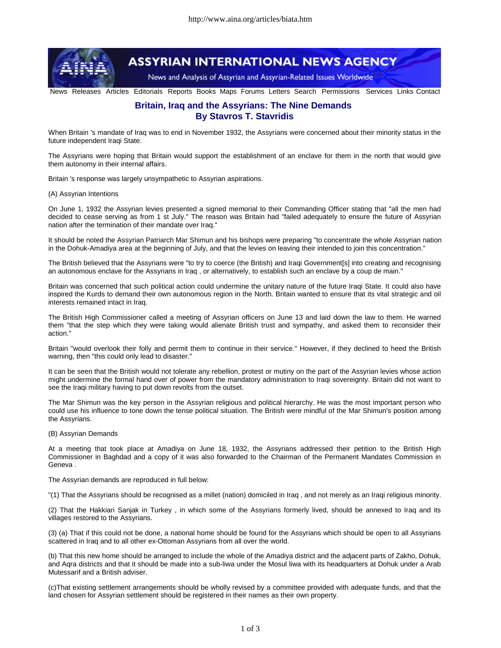

## **ASSYRIAN INTERNATIONAL NEWS AGENCY**

News and Analysis of Assyrian and Assyrian-Related Issues Worldwide

News Releases Articles Editorials Reports Books Maps Forums Letters Search Permissions Services Links Contact

## **Britain, Iraq and the Assyrians: The Nine Demands By Stavros T. Stavridis**

When Britain 's mandate of Iraq was to end in November 1932, the Assyrians were concerned about their minority status in the future independent Iraqi State.

The Assyrians were hoping that Britain would support the establishment of an enclave for them in the north that would give them autonomy in their internal affairs.

Britain 's response was largely unsympathetic to Assyrian aspirations.

(A) Assyrian Intentions

On June 1, 1932 the Assyrian levies presented a signed memorial to their Commanding Officer stating that "all the men had decided to cease serving as from 1 st July." The reason was Britain had "failed adequately to ensure the future of Assyrian nation after the termination of their mandate over Iraq."

It should be noted the Assyrian Patriarch Mar Shimun and his bishops were preparing "to concentrate the whole Assyrian nation in the Dohuk-Amadiya area at the beginning of July, and that the levies on leaving their intended to join this concentration."

The British believed that the Assyrians were "to try to coerce (the British) and Iraqi Government[s] into creating and recognising an autonomous enclave for the Assyrians in Iraq , or alternatively, to establish such an enclave by a coup de main."

Britain was concerned that such political action could undermine the unitary nature of the future Iraqi State. It could also have inspired the Kurds to demand their own autonomous region in the North. Britain wanted to ensure that its vital strategic and oil interests remained intact in Iraq.

The British High Commissioner called a meeting of Assyrian officers on June 13 and laid down the law to them. He warned them "that the step which they were taking would alienate British trust and sympathy, and asked them to reconsider their action."

Britain "would overlook their folly and permit them to continue in their service." However, if they declined to heed the British warning, then "this could only lead to disaster."

It can be seen that the British would not tolerate any rebellion, protest or mutiny on the part of the Assyrian levies whose action might undermine the formal hand over of power from the mandatory administration to Iraqi sovereignty. Britain did not want to see the Iraqi military having to put down revolts from the outset.

The Mar Shimun was the key person in the Assyrian religious and political hierarchy. He was the most important person who could use his influence to tone down the tense political situation. The British were mindful of the Mar Shimun's position among the Assyrians.

(B) Assyrian Demands

At a meeting that took place at Amadiya on June 18, 1932, the Assyrians addressed their petition to the British High Commissioner in Baghdad and a copy of it was also forwarded to the Chairman of the Permanent Mandates Commission in Geneva .

The Assyrian demands are reproduced in full below:

"(1) That the Assyrians should be recognised as a millet (nation) domiciled in Iraq , and not merely as an Iraqi religious minority.

(2) That the Hakkiari Sanjak in Turkey , in which some of the Assyrians formerly lived, should be annexed to Iraq and its villages restored to the Assyrians.

(3) (a) That if this could not be done, a national home should be found for the Assyrians which should be open to all Assyrians scattered in Iraq and to all other ex-Ottoman Assyrians from all over the world.

(b) That this new home should be arranged to include the whole of the Amadiya district and the adjacent parts of Zakho, Dohuk, and Aqra districts and that it should be made into a sub-liwa under the Mosul liwa with its headquarters at Dohuk under a Arab Mutessarif and a British adviser.

(c)That existing settlement arrangements should be wholly revised by a committee provided with adequate funds, and that the land chosen for Assyrian settlement should be registered in their names as their own property.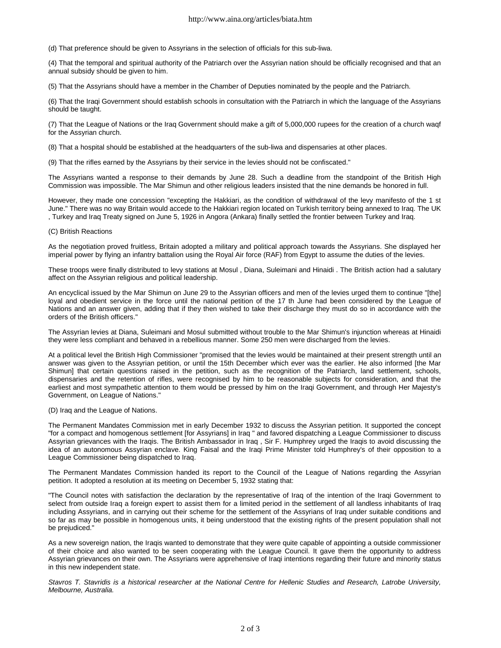(d) That preference should be given to Assyrians in the selection of officials for this sub-liwa.

(4) That the temporal and spiritual authority of the Patriarch over the Assyrian nation should be officially recognised and that an annual subsidy should be given to him.

(5) That the Assyrians should have a member in the Chamber of Deputies nominated by the people and the Patriarch.

(6) That the Iraqi Government should establish schools in consultation with the Patriarch in which the language of the Assyrians should be taught.

(7) That the League of Nations or the Iraq Government should make a gift of 5,000,000 rupees for the creation of a church waqf for the Assyrian church.

(8) That a hospital should be established at the headquarters of the sub-liwa and dispensaries at other places.

(9) That the rifles earned by the Assyrians by their service in the levies should not be confiscated."

The Assyrians wanted a response to their demands by June 28. Such a deadline from the standpoint of the British High Commission was impossible. The Mar Shimun and other religious leaders insisted that the nine demands be honored in full.

However, they made one concession "excepting the Hakkiari, as the condition of withdrawal of the levy manifesto of the 1 st June." There was no way Britain would accede to the Hakkiari region located on Turkish territory being annexed to Iraq. The UK , Turkey and Iraq Treaty signed on June 5, 1926 in Angora (Ankara) finally settled the frontier between Turkey and Iraq.

## (C) British Reactions

As the negotiation proved fruitless, Britain adopted a military and political approach towards the Assyrians. She displayed her imperial power by flying an infantry battalion using the Royal Air force (RAF) from Egypt to assume the duties of the levies.

These troops were finally distributed to levy stations at Mosul , Diana, Suleimani and Hinaidi . The British action had a salutary affect on the Assyrian religious and political leadership.

An encyclical issued by the Mar Shimun on June 29 to the Assyrian officers and men of the levies urged them to continue "[the] loyal and obedient service in the force until the national petition of the 17 th June had been considered by the League of Nations and an answer given, adding that if they then wished to take their discharge they must do so in accordance with the orders of the British officers."

The Assyrian levies at Diana, Suleimani and Mosul submitted without trouble to the Mar Shimun's injunction whereas at Hinaidi they were less compliant and behaved in a rebellious manner. Some 250 men were discharged from the levies.

At a political level the British High Commissioner "promised that the levies would be maintained at their present strength until an answer was given to the Assyrian petition, or until the 15th December which ever was the earlier. He also informed [the Mar Shimun] that certain questions raised in the petition, such as the recognition of the Patriarch, land settlement, schools, dispensaries and the retention of rifles, were recognised by him to be reasonable subjects for consideration, and that the earliest and most sympathetic attention to them would be pressed by him on the Iraqi Government, and through Her Majesty's Government, on League of Nations."

(D) Iraq and the League of Nations.

The Permanent Mandates Commission met in early December 1932 to discuss the Assyrian petition. It supported the concept "for a compact and homogenous settlement [for Assyrians] in Iraq " and favored dispatching a League Commissioner to discuss Assyrian grievances with the Iraqis. The British Ambassador in Iraq , Sir F. Humphrey urged the Iraqis to avoid discussing the idea of an autonomous Assyrian enclave. King Faisal and the Iraqi Prime Minister told Humphrey's of their opposition to a League Commissioner being dispatched to Iraq.

The Permanent Mandates Commission handed its report to the Council of the League of Nations regarding the Assyrian petition. It adopted a resolution at its meeting on December 5, 1932 stating that:

"The Council notes with satisfaction the declaration by the representative of Iraq of the intention of the Iraqi Government to select from outside Iraq a foreign expert to assist them for a limited period in the settlement of all landless inhabitants of Iraq including Assyrians, and in carrying out their scheme for the settlement of the Assyrians of Iraq under suitable conditions and so far as may be possible in homogenous units, it being understood that the existing rights of the present population shall not be prejudiced."

As a new sovereign nation, the Iraqis wanted to demonstrate that they were quite capable of appointing a outside commissioner of their choice and also wanted to be seen cooperating with the League Council. It gave them the opportunity to address Assyrian grievances on their own. The Assyrians were apprehensive of Iraqi intentions regarding their future and minority status in this new independent state.

Stavros T. Stavridis is a historical researcher at the National Centre for Hellenic Studies and Research, Latrobe University, *Melbourne, Australia.*